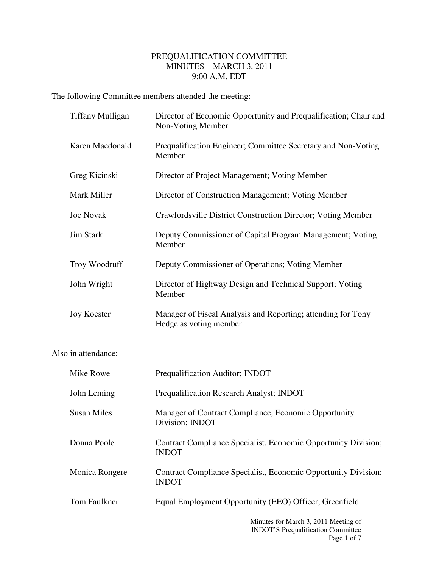## PREQUALIFICATION COMMITTEE MINUTES – MARCH 3, 2011 9:00 A.M. EDT

The following Committee members attended the meeting:

| <b>Tiffany Mulligan</b> | Director of Economic Opportunity and Prequalification; Chair and<br>Non-Voting Member  |
|-------------------------|----------------------------------------------------------------------------------------|
| Karen Macdonald         | Prequalification Engineer; Committee Secretary and Non-Voting<br>Member                |
| Greg Kicinski           | Director of Project Management; Voting Member                                          |
| Mark Miller             | Director of Construction Management; Voting Member                                     |
| <b>Joe Novak</b>        | Crawfordsville District Construction Director; Voting Member                           |
| <b>Jim Stark</b>        | Deputy Commissioner of Capital Program Management; Voting<br>Member                    |
| Troy Woodruff           | Deputy Commissioner of Operations; Voting Member                                       |
| John Wright             | Director of Highway Design and Technical Support; Voting<br>Member                     |
| <b>Joy Koester</b>      | Manager of Fiscal Analysis and Reporting; attending for Tony<br>Hedge as voting member |
| Also in attendance:     |                                                                                        |
| Mike Rowe               | Prequalification Auditor; INDOT                                                        |
| John Leming             | Prequalification Research Analyst; INDOT                                               |
| <b>Susan Miles</b>      | Manager of Contract Compliance, Economic Opportunity<br>Division; INDOT                |
| Donna Poole             | Contract Compliance Specialist, Economic Opportunity Division;<br><b>INDOT</b>         |
| Monica Rongere          | Contract Compliance Specialist, Economic Opportunity Division;<br><b>INDOT</b>         |
| Tom Faulkner            | Equal Employment Opportunity (EEO) Officer, Greenfield                                 |
|                         | Minutes for March 3, 2011 Meeting of<br><b>INDOT'S Prequalification Committee</b>      |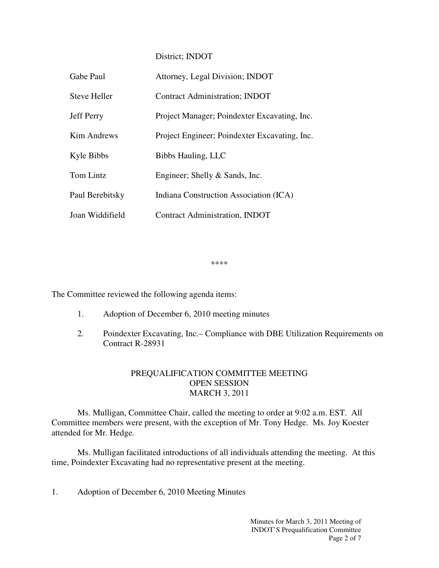District; INDOT

| Gabe Paul         | Attorney, Legal Division; INDOT               |
|-------------------|-----------------------------------------------|
| Steve Heller      | <b>Contract Administration; INDOT</b>         |
| <b>Jeff Perry</b> | Project Manager; Poindexter Excavating, Inc.  |
| Kim Andrews       | Project Engineer; Poindexter Excavating, Inc. |
| Kyle Bibbs        | Bibbs Hauling, LLC                            |
| Tom Lintz         | Engineer; Shelly & Sands, Inc.                |
| Paul Berebitsky   | Indiana Construction Association (ICA)        |
| Joan Widdifield   | <b>Contract Administration, INDOT</b>         |

\*\*\*\*

The Committee reviewed the following agenda items:

- 1. Adoption of December 6, 2010 meeting minutes
- 2. Poindexter Excavating, Inc.– Compliance with DBE Utilization Requirements on Contract R-28931

## PREQUALIFICATION COMMITTEE MEETING OPEN SESSION MARCH 3, 2011

 Ms. Mulligan, Committee Chair, called the meeting to order at 9:02 a.m. EST. All Committee members were present, with the exception of Mr. Tony Hedge. Ms. Joy Koester attended for Mr. Hedge.

Ms. Mulligan facilitated introductions of all individuals attending the meeting. At this time, Poindexter Excavating had no representative present at the meeting.

1. Adoption of December 6, 2010 Meeting Minutes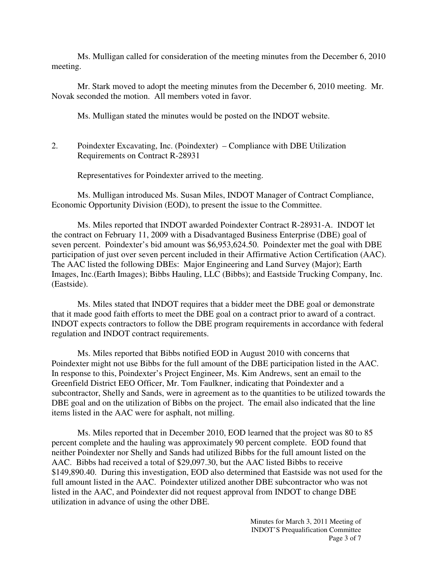Ms. Mulligan called for consideration of the meeting minutes from the December 6, 2010 meeting.

 Mr. Stark moved to adopt the meeting minutes from the December 6, 2010 meeting. Mr. Novak seconded the motion. All members voted in favor.

Ms. Mulligan stated the minutes would be posted on the INDOT website.

2. Poindexter Excavating, Inc. (Poindexter) – Compliance with DBE Utilization Requirements on Contract R-28931

Representatives for Poindexter arrived to the meeting.

Ms. Mulligan introduced Ms. Susan Miles, INDOT Manager of Contract Compliance, Economic Opportunity Division (EOD), to present the issue to the Committee.

Ms. Miles reported that INDOT awarded Poindexter Contract R-28931-A. INDOT let the contract on February 11, 2009 with a Disadvantaged Business Enterprise (DBE) goal of seven percent. Poindexter's bid amount was \$6,953,624.50. Poindexter met the goal with DBE participation of just over seven percent included in their Affirmative Action Certification (AAC). The AAC listed the following DBEs: Major Engineering and Land Survey (Major); Earth Images, Inc.(Earth Images); Bibbs Hauling, LLC (Bibbs); and Eastside Trucking Company, Inc. (Eastside).

Ms. Miles stated that INDOT requires that a bidder meet the DBE goal or demonstrate that it made good faith efforts to meet the DBE goal on a contract prior to award of a contract. INDOT expects contractors to follow the DBE program requirements in accordance with federal regulation and INDOT contract requirements.

Ms. Miles reported that Bibbs notified EOD in August 2010 with concerns that Poindexter might not use Bibbs for the full amount of the DBE participation listed in the AAC. In response to this, Poindexter's Project Engineer, Ms. Kim Andrews, sent an email to the Greenfield District EEO Officer, Mr. Tom Faulkner, indicating that Poindexter and a subcontractor, Shelly and Sands, were in agreement as to the quantities to be utilized towards the DBE goal and on the utilization of Bibbs on the project. The email also indicated that the line items listed in the AAC were for asphalt, not milling.

Ms. Miles reported that in December 2010, EOD learned that the project was 80 to 85 percent complete and the hauling was approximately 90 percent complete. EOD found that neither Poindexter nor Shelly and Sands had utilized Bibbs for the full amount listed on the AAC. Bibbs had received a total of \$29,097.30, but the AAC listed Bibbs to receive \$149,890.40. During this investigation, EOD also determined that Eastside was not used for the full amount listed in the AAC. Poindexter utilized another DBE subcontractor who was not listed in the AAC, and Poindexter did not request approval from INDOT to change DBE utilization in advance of using the other DBE.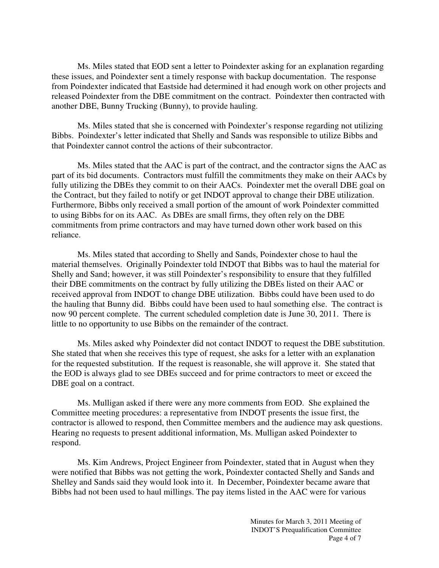Ms. Miles stated that EOD sent a letter to Poindexter asking for an explanation regarding these issues, and Poindexter sent a timely response with backup documentation. The response from Poindexter indicated that Eastside had determined it had enough work on other projects and released Poindexter from the DBE commitment on the contract. Poindexter then contracted with another DBE, Bunny Trucking (Bunny), to provide hauling.

Ms. Miles stated that she is concerned with Poindexter's response regarding not utilizing Bibbs. Poindexter's letter indicated that Shelly and Sands was responsible to utilize Bibbs and that Poindexter cannot control the actions of their subcontractor.

Ms. Miles stated that the AAC is part of the contract, and the contractor signs the AAC as part of its bid documents. Contractors must fulfill the commitments they make on their AACs by fully utilizing the DBEs they commit to on their AACs. Poindexter met the overall DBE goal on the Contract, but they failed to notify or get INDOT approval to change their DBE utilization. Furthermore, Bibbs only received a small portion of the amount of work Poindexter committed to using Bibbs for on its AAC. As DBEs are small firms, they often rely on the DBE commitments from prime contractors and may have turned down other work based on this reliance.

Ms. Miles stated that according to Shelly and Sands, Poindexter chose to haul the material themselves. Originally Poindexter told INDOT that Bibbs was to haul the material for Shelly and Sand; however, it was still Poindexter's responsibility to ensure that they fulfilled their DBE commitments on the contract by fully utilizing the DBEs listed on their AAC or received approval from INDOT to change DBE utilization. Bibbs could have been used to do the hauling that Bunny did. Bibbs could have been used to haul something else. The contract is now 90 percent complete. The current scheduled completion date is June 30, 2011. There is little to no opportunity to use Bibbs on the remainder of the contract.

Ms. Miles asked why Poindexter did not contact INDOT to request the DBE substitution. She stated that when she receives this type of request, she asks for a letter with an explanation for the requested substitution. If the request is reasonable, she will approve it. She stated that the EOD is always glad to see DBEs succeed and for prime contractors to meet or exceed the DBE goal on a contract.

Ms. Mulligan asked if there were any more comments from EOD. She explained the Committee meeting procedures: a representative from INDOT presents the issue first, the contractor is allowed to respond, then Committee members and the audience may ask questions. Hearing no requests to present additional information, Ms. Mulligan asked Poindexter to respond.

Ms. Kim Andrews, Project Engineer from Poindexter, stated that in August when they were notified that Bibbs was not getting the work, Poindexter contacted Shelly and Sands and Shelley and Sands said they would look into it. In December, Poindexter became aware that Bibbs had not been used to haul millings. The pay items listed in the AAC were for various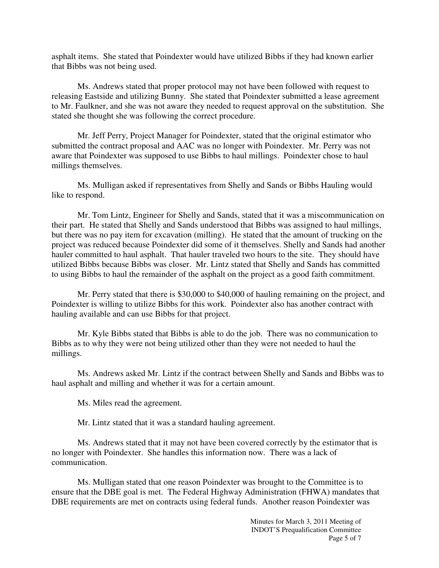asphalt items. She stated that Poindexter would have utilized Bibbs if they had known earlier that Bibbs was not being used.

Ms. Andrews stated that proper protocol may not have been followed with request to releasing Eastside and utilizing Bunny. She stated that Poindexter submitted a lease agreement to Mr. Faulkner, and she was not aware they needed to request approval on the substitution. She stated she thought she was following the correct procedure.

Mr. Jeff Perry, Project Manager for Poindexter, stated that the original estimator who submitted the contract proposal and AAC was no longer with Poindexter. Mr. Perry was not aware that Poindexter was supposed to use Bibbs to haul millings. Poindexter chose to haul millings themselves.

Ms. Mulligan asked if representatives from Shelly and Sands or Bibbs Hauling would like to respond.

Mr. Tom Lintz, Engineer for Shelly and Sands, stated that it was a miscommunication on their part. He stated that Shelly and Sands understood that Bibbs was assigned to haul millings, but there was no pay item for excavation (milling). He stated that the amount of trucking on the project was reduced because Poindexter did some of it themselves. Shelly and Sands had another hauler committed to haul asphalt. That hauler traveled two hours to the site. They should have utilized Bibbs because Bibbs was closer. Mr. Lintz stated that Shelly and Sands has committed to using Bibbs to haul the remainder of the asphalt on the project as a good faith commitment.

Mr. Perry stated that there is \$30,000 to \$40,000 of hauling remaining on the project, and Poindexter is willing to utilize Bibbs for this work. Poindexter also has another contract with hauling available and can use Bibbs for that project.

Mr. Kyle Bibbs stated that Bibbs is able to do the job. There was no communication to Bibbs as to why they were not being utilized other than they were not needed to haul the millings.

Ms. Andrews asked Mr. Lintz if the contract between Shelly and Sands and Bibbs was to haul asphalt and milling and whether it was for a certain amount.

Ms. Miles read the agreement.

Mr. Lintz stated that it was a standard hauling agreement.

Ms. Andrews stated that it may not have been covered correctly by the estimator that is no longer with Poindexter. She handles this information now. There was a lack of communication.

Ms. Mulligan stated that one reason Poindexter was brought to the Committee is to ensure that the DBE goal is met. The Federal Highway Administration (FHWA) mandates that DBE requirements are met on contracts using federal funds. Another reason Poindexter was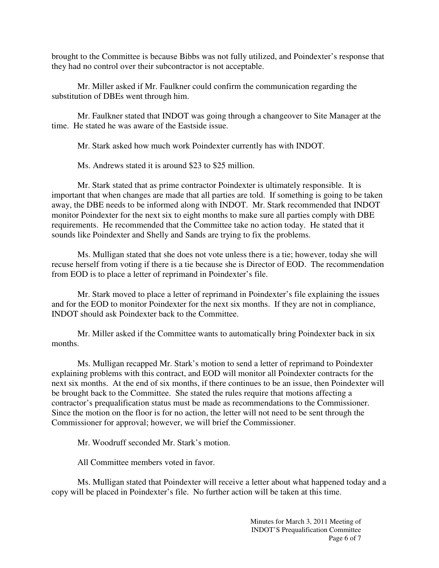brought to the Committee is because Bibbs was not fully utilized, and Poindexter's response that they had no control over their subcontractor is not acceptable.

Mr. Miller asked if Mr. Faulkner could confirm the communication regarding the substitution of DBEs went through him.

Mr. Faulkner stated that INDOT was going through a changeover to Site Manager at the time. He stated he was aware of the Eastside issue.

Mr. Stark asked how much work Poindexter currently has with INDOT.

Ms. Andrews stated it is around \$23 to \$25 million.

Mr. Stark stated that as prime contractor Poindexter is ultimately responsible. It is important that when changes are made that all parties are told. If something is going to be taken away, the DBE needs to be informed along with INDOT. Mr. Stark recommended that INDOT monitor Poindexter for the next six to eight months to make sure all parties comply with DBE requirements. He recommended that the Committee take no action today. He stated that it sounds like Poindexter and Shelly and Sands are trying to fix the problems.

Ms. Mulligan stated that she does not vote unless there is a tie; however, today she will recuse herself from voting if there is a tie because she is Director of EOD. The recommendation from EOD is to place a letter of reprimand in Poindexter's file.

Mr. Stark moved to place a letter of reprimand in Poindexter's file explaining the issues and for the EOD to monitor Poindexter for the next six months. If they are not in compliance, INDOT should ask Poindexter back to the Committee.

Mr. Miller asked if the Committee wants to automatically bring Poindexter back in six months.

Ms. Mulligan recapped Mr. Stark's motion to send a letter of reprimand to Poindexter explaining problems with this contract, and EOD will monitor all Poindexter contracts for the next six months. At the end of six months, if there continues to be an issue, then Poindexter will be brought back to the Committee. She stated the rules require that motions affecting a contractor's prequalification status must be made as recommendations to the Commissioner. Since the motion on the floor is for no action, the letter will not need to be sent through the Commissioner for approval; however, we will brief the Commissioner.

Mr. Woodruff seconded Mr. Stark's motion.

All Committee members voted in favor.

 Ms. Mulligan stated that Poindexter will receive a letter about what happened today and a copy will be placed in Poindexter's file. No further action will be taken at this time.